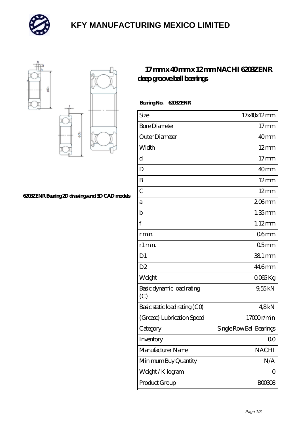

# **[KFY MANUFACTURING MEXICO LIMITED](https://m.mailemotion.tv)**



#### **[6203ZENR Bearing 2D drawings and 3D CAD models](https://m.mailemotion.tv/pic-412515.html)**

### **[17 mm x 40 mm x 12 mm NACHI 6203ZENR](https://m.mailemotion.tv/bj-412515-nachi-6203zenr-deep-groove-ball-bearings.html) [deep groove ball bearings](https://m.mailemotion.tv/bj-412515-nachi-6203zenr-deep-groove-ball-bearings.html)**

| Bearing No. | <b>G203ZENR</b> |
|-------------|-----------------|
|             |                 |

| Size                             | 17x40x12mm               |
|----------------------------------|--------------------------|
| <b>Bore Diameter</b>             | $17$ mm                  |
| Outer Diameter                   | 40mm                     |
| Width                            | $12 \text{mm}$           |
| d                                | 17 <sub>mm</sub>         |
| D                                | 40 <sub>mm</sub>         |
| B                                | $12 \text{mm}$           |
| $\overline{C}$                   | $12 \text{mm}$           |
| а                                | $206$ mm                 |
| b                                | $1.35$ mm                |
| f                                | $1.12$ mm                |
| r min.                           | 06 <sub>mm</sub>         |
| r1 min.                          | 05 <sub>mm</sub>         |
| D <sub>1</sub>                   | 38.1 mm                  |
| D <sub>2</sub>                   | 446mm                    |
| Weight                           | 0065Kg                   |
| Basic dynamic load rating<br>(C) | 9,55kN                   |
| Basic static load rating (CO)    | 48kN                     |
| (Grease) Lubrication Speed       | 17000r/min               |
| Category                         | Single Row Ball Bearings |
| Inventory                        | 0 <sub>0</sub>           |
| Manufacturer Name                | <b>NACHI</b>             |
| Minimum Buy Quantity             | N/A                      |
| Weight/Kilogram                  | 0                        |
| Product Group                    | <b>BOO3O8</b>            |
|                                  |                          |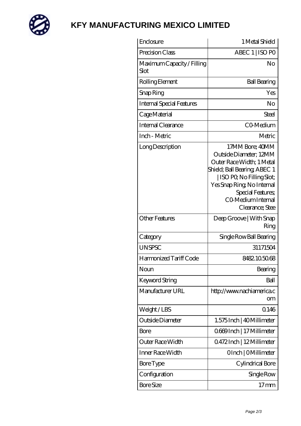

# **[KFY MANUFACTURING MEXICO LIMITED](https://m.mailemotion.tv)**

| Enclosure                          | 1 Metal Shield                                                                                                                                                                                                                |
|------------------------------------|-------------------------------------------------------------------------------------------------------------------------------------------------------------------------------------------------------------------------------|
| Precision Class                    | ABEC 1   ISO PO                                                                                                                                                                                                               |
| Maximum Capacity / Filling<br>Slot | No                                                                                                                                                                                                                            |
| Rolling Element                    | <b>Ball Bearing</b>                                                                                                                                                                                                           |
| Snap Ring                          | Yes                                                                                                                                                                                                                           |
| <b>Internal Special Features</b>   | No                                                                                                                                                                                                                            |
| Cage Material                      | Steel                                                                                                                                                                                                                         |
| Internal Clearance                 | CO-Medium                                                                                                                                                                                                                     |
| Inch - Metric                      | Metric                                                                                                                                                                                                                        |
| Long Description                   | 17MM Bore; 40MM<br>Outside Diameter; 12MM<br>Outer Race Width; 1 Metal<br>Shield; Ball Bearing; ABEC 1<br>ISO PQ No Filling Slot;<br>Yes Snap Ring, No Internal<br>Special Features;<br>CO Medium Internal<br>Clearance; Stee |
| <b>Other Features</b>              | Deep Groove   With Snap<br>Ring                                                                                                                                                                                               |
| Category                           | Single Row Ball Bearing                                                                                                                                                                                                       |
| <b>UNSPSC</b>                      | 31171504                                                                                                                                                                                                                      |
| Harmonized Tariff Code             | 8482105068                                                                                                                                                                                                                    |
| Noun                               | Bearing                                                                                                                                                                                                                       |
| <b>Keyword String</b>              | Ball                                                                                                                                                                                                                          |
| Manufacturer URL                   | http://www.nachiamerica.c<br>om                                                                                                                                                                                               |
| Weight/LBS                         | 0.146                                                                                                                                                                                                                         |
| Outside Diameter                   | 1.575 Inch   40 Millimeter                                                                                                                                                                                                    |
| <b>Bore</b>                        | Q669Inch   17 Millimeter                                                                                                                                                                                                      |
| Outer Race Width                   | 0.472Inch   12Millimeter                                                                                                                                                                                                      |
| Inner Race Width                   | OInch   OMillimeter                                                                                                                                                                                                           |
| <b>Bore</b> Type                   | Cylindrical Bore                                                                                                                                                                                                              |
| Configuration                      | Single Row                                                                                                                                                                                                                    |
| <b>Bore Size</b>                   | $17 \,\mathrm{mm}$                                                                                                                                                                                                            |